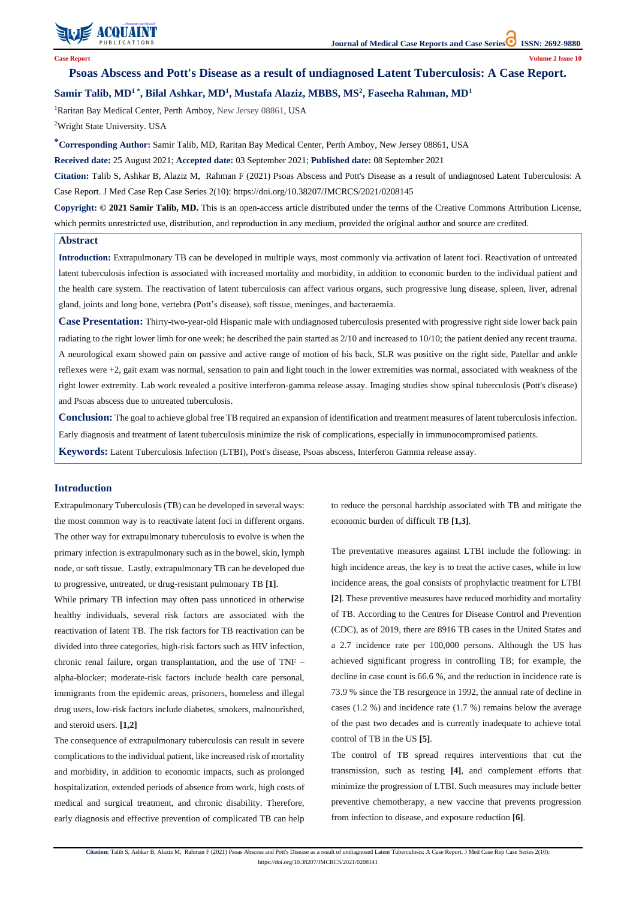

**Citation:** Talib S, Ashkar B, Alaziz M, Rahman F (2021) Psoas Abscess and Pott's Disease as a result of undiagnosed Latent Tuberculosis: A Case Report. J Med Case Rep Case Series 2(10): https://doi.org/10.38207/JMCRCS/2021/0208141

# **Psoas Abscess and Pott's Disease as a result of undiagnosed Latent Tuberculosis: A Case Report.**

# **Samir Talib, MD<sup>1</sup> \* , Bilal Ashkar, MD<sup>1</sup> , Mustafa Alaziz, MBBS, MS<sup>2</sup> , Faseeha Rahman, MD<sup>1</sup>**

<sup>1</sup>Raritan Bay Medical Center, Perth Amboy, New Jersey 08861, USA

<sup>2</sup>Wright State University. USA

**\*Corresponding Author:** Samir Talib, MD, Raritan Bay Medical Center, Perth Amboy, New Jersey 08861, USA

**Received date:** 25 August 2021; **Accepted date:** 03 September 2021; **Published date:** 08 September 2021

**Citation:** Talib S, Ashkar B, Alaziz M, Rahman F (2021) Psoas Abscess and Pott's Disease as a result of undiagnosed Latent Tuberculosis: A Case Report. J Med Case Rep Case Series 2(10): https://doi.org/10.38207/JMCRCS/2021/0208145

**Copyright: © 2021 Samir Talib, MD.** This is an open-access article distributed under the terms of the Creative Commons Attribution License, which permits unrestricted use, distribution, and reproduction in any medium, provided the original author and source are credited.

# **Abstract**

**Introduction:** Extrapulmonary TB can be developed in multiple ways, most commonly via activation of latent foci. Reactivation of untreated latent tuberculosis infection is associated with increased mortality and morbidity, in addition to economic burden to the individual patient and the health care system. The reactivation of latent tuberculosis can affect various organs, such progressive lung disease, spleen, liver, adrenal gland, joints and long bone, vertebra (Pott's disease), soft tissue, meninges, and bacteraemia.

**Case Presentation:** Thirty-two-year-old Hispanic male with undiagnosed tuberculosis presented with progressive right side lower back pain radiating to the right lower limb for one week; he described the pain started as 2/10 and increased to 10/10; the patient denied any recent trauma. A neurological exam showed pain on passive and active range of motion of his back, SLR was positive on the right side, Patellar and ankle reflexes were +2, gait exam was normal, sensation to pain and light touch in the lower extremities was normal, associated with weakness of the right lower extremity. Lab work revealed a positive interferon-gamma release assay. Imaging studies show spinal tuberculosis (Pott's disease) and Psoas abscess due to untreated tuberculosis.

**Conclusion:** The goal to achieve global free TB required an expansion of identification and treatment measures of latent tuberculosis infection. Early diagnosis and treatment of latent tuberculosis minimize the risk of complications, especially in immunocompromised patients.

**Keywords:** Latent Tuberculosis Infection (LTBI), Pott's disease, Psoas abscess, Interferon Gamma release assay.

### **Introduction**

Extrapulmonary Tuberculosis (TB) can be developed in several ways: the most common way is to reactivate latent foci in different organs. The other way for extrapulmonary tuberculosis to evolve is when the primary infection is extrapulmonary such as in the bowel, skin, lymph node, or soft tissue. Lastly, extrapulmonary TB can be developed due to progressive, untreated, or drug-resistant pulmonary TB **[1]**.

While primary TB infection may often pass unnoticed in otherwise healthy individuals, several risk factors are associated with the reactivation of latent TB. The risk factors for TB reactivation can be divided into three categories, high-risk factors such as HIV infection, chronic renal failure, organ transplantation, and the use of TNF – alpha-blocker; moderate-risk factors include health care personal, immigrants from the epidemic areas, prisoners, homeless and illegal drug users, low-risk factors include diabetes, smokers, malnourished, and steroid users. **[1,2]**

The consequence of extrapulmonary tuberculosis can result in severe complications to the individual patient, like increased risk of mortality and morbidity, in addition to economic impacts, such as prolonged hospitalization, extended periods of absence from work, high costs of medical and surgical treatment, and chronic disability. Therefore, early diagnosis and effective prevention of complicated TB can help to reduce the personal hardship associated with TB and mitigate the economic burden of difficult TB **[1,3]**.

The preventative measures against LTBI include the following: in high incidence areas, the key is to treat the active cases, while in low incidence areas, the goal consists of prophylactic treatment for LTBI **[2]**. These preventive measures have reduced morbidity and mortality of TB. According to the Centres for Disease Control and Prevention (CDC), as of 2019, there are 8916 TB cases in the United States and a 2.7 incidence rate per 100,000 persons. Although the US has achieved significant progress in controlling TB; for example, the decline in case count is 66.6 %, and the reduction in incidence rate is

73.9 % since the TB resurgence in 1992, the annual rate of decline in cases (1.2 %) and incidence rate (1.7 %) remains below the average of the past two decades and is currently inadequate to achieve total control of TB in the US **[5]**.

The control of TB spread requires interventions that cut the transmission, such as testing **[4]**, and complement efforts that minimize the progression of LTBI. Such measures may include better preventive chemotherapy, a new vaccine that prevents progression from infection to disease, and exposure reduction **[6]**.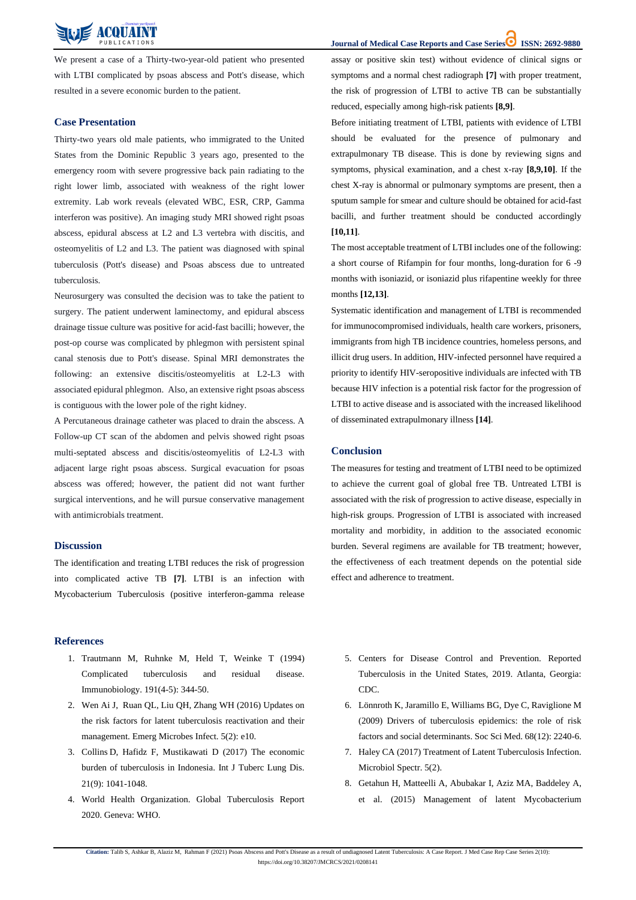**Journal of Medical Case Reports and Case Series ISSN: 2692-9880** 

**Citation:** Talib S, Ashkar B, Alaziz M, Rahman F (2021) Psoas Abscess and Pott's Disease as a result of undiagnosed Latent Tuberculosis: A Case Report. J Med Case Rep Case Series 2(10): https://doi.org/10.38207/JMCRCS/2021/0208141



We present a case of a Thirty-two-year-old patient who presented with LTBI complicated by psoas abscess and Pott's disease, which resulted in a severe economic burden to the patient.

# **Case Presentation**

Thirty-two years old male patients, who immigrated to the United States from the Dominic Republic 3 years ago, presented to the emergency room with severe progressive back pain radiating to the right lower limb, associated with weakness of the right lower extremity. Lab work reveals (elevated WBC, ESR, CRP, Gamma interferon was positive). An imaging study MRI showed right psoas abscess, epidural abscess at L2 and L3 vertebra with discitis, and osteomyelitis of L2 and L3. The patient was diagnosed with spinal tuberculosis (Pott's disease) and Psoas abscess due to untreated tuberculosis.

Neurosurgery was consulted the decision was to take the patient to surgery. The patient underwent laminectomy, and epidural abscess drainage tissue culture was positive for acid-fast bacilli; however, the post-op course was complicated by phlegmon with persistent spinal canal stenosis due to Pott's disease. Spinal MRI demonstrates the following: an extensive discitis/osteomyelitis at L2-L3 with associated epidural phlegmon. Also, an extensive right psoas abscess is contiguous with the lower pole of the right kidney.

A Percutaneous drainage catheter was placed to drain the abscess. A Follow-up CT scan of the abdomen and pelvis showed right psoas multi-septated abscess and discitis/osteomyelitis of L2-L3 with adjacent large right psoas abscess. Surgical evacuation for psoas abscess was offered; however, the patient did not want further surgical interventions, and he will pursue conservative management with antimicrobials treatment.

#### **Discussion**

The identification and treating LTBI reduces the risk of progression into complicated active TB **[7]**. LTBI is an infection with Mycobacterium Tuberculosis (positive interferon-gamma release assay or positive skin test) without evidence of clinical signs or symptoms and a normal chest radiograph **[7]** with proper treatment, the risk of progression of LTBI to active TB can be substantially reduced, especially among high-risk patients **[8,9]**.

Before initiating treatment of LTBI, patients with evidence of LTBI should be evaluated for the presence of pulmonary and extrapulmonary TB disease. This is done by reviewing signs and symptoms, physical examination, and a chest x-ray **[8,9,10]**. If the chest X-ray is abnormal or pulmonary symptoms are present, then a sputum sample for smear and culture should be obtained for acid-fast bacilli, and further treatment should be conducted accordingly **[10,11]**.

The most acceptable treatment of LTBI includes one of the following: a short course of Rifampin for four months, long-duration for 6 -9 months with isoniazid, or isoniazid plus rifapentine weekly for three months **[12,13]**.

Systematic identification and management of LTBI is recommended for immunocompromised individuals, health care workers, prisoners, immigrants from high TB incidence countries, homeless persons, and illicit drug users. In addition, HIV-infected personnel have required a priority to identify HIV-seropositive individuals are infected with TB because HIV infection is a potential risk factor for the progression of LTBI to active disease and is associated with the increased likelihood of disseminated extrapulmonary illness **[14]**.

#### **Conclusion**

The measures for testing and treatment of LTBI need to be optimized to achieve the current goal of global free TB. Untreated LTBI is associated with the risk of progression to active disease, especially in high-risk groups. Progression of LTBI is associated with increased mortality and morbidity, in addition to the associated economic burden. Several regimens are available for TB treatment; however, the effectiveness of each treatment depends on the potential side effect and adherence to treatment.

#### **References**

[Immunobiology. 191\(4-5\):](https://pubmed.ncbi.nlm.nih.gov/7713548/) 344-50.

- 1. Trautmann M, Ruhnke M, [Held T, Weinke T](https://pubmed.ncbi.nlm.nih.gov/7713548/) (1994) [Complicated tuberculosis and residual disease.](https://pubmed.ncbi.nlm.nih.gov/7713548/)
- 5. [Centers for Disease Control and Prevention. Reported](https://www.cdc.gov/tb/statistics/reports/2019/Exec_Commentary.html)  [Tuberculosis in the United States, 2019. Atlanta, Georgia:](https://www.cdc.gov/tb/statistics/reports/2019/Exec_Commentary.html)

- 2. [Wen Ai J, Ruan QL, Liu QH, Zhang WH \(2016\) Updates on](https://pubmed.ncbi.nlm.nih.gov/26839146/)  [the risk factors for latent tuberculosis reactivation and their](https://pubmed.ncbi.nlm.nih.gov/26839146/)  [management. Emerg Microbes Infect. 5\(2\):](https://pubmed.ncbi.nlm.nih.gov/26839146/) e10.
- 3. Collins [D, Hafidz F, Mustikawati D](https://pubmed.ncbi.nlm.nih.gov/28826455/) (2017) The economic [burden of tuberculosis in Indonesia. Int J Tuberc Lung Dis.](https://pubmed.ncbi.nlm.nih.gov/28826455/)  21(9): [1041-1048.](https://pubmed.ncbi.nlm.nih.gov/28826455/)
- 4. [World Health Organization. Global Tuberculosis Report](https://apps.who.int/iris/bitstream/handle/10665/336069/9789240013131-eng.pdf)  [2020. Geneva: WHO.](https://apps.who.int/iris/bitstream/handle/10665/336069/9789240013131-eng.pdf)

# [CDC.](https://www.cdc.gov/tb/statistics/reports/2019/Exec_Commentary.html)

- 6. Lönnroth K, Jaramillo [E, Williams BG, Dye C, Raviglione M](https://pubmed.ncbi.nlm.nih.gov/19394122/)  [\(2009\) Drivers of tuberculosis epidemics: the role of risk](https://pubmed.ncbi.nlm.nih.gov/19394122/)  [factors and social determinants. Soc Sci Med. 68\(12\): 2240-6.](https://pubmed.ncbi.nlm.nih.gov/19394122/)
- 7. Haley CA (2017) [Treatment of Latent Tuberculosis Infection.](https://pubmed.ncbi.nlm.nih.gov/28409555/)  [Microbiol Spectr. 5\(2\).](https://pubmed.ncbi.nlm.nih.gov/28409555/)
- 8. [Getahun H, Matteelli A, Abubakar I, Aziz MA, Baddeley A,](https://pubmed.ncbi.nlm.nih.gov/26405286/)  et al. (2015) [Management of latent Mycobacterium](https://pubmed.ncbi.nlm.nih.gov/26405286/)